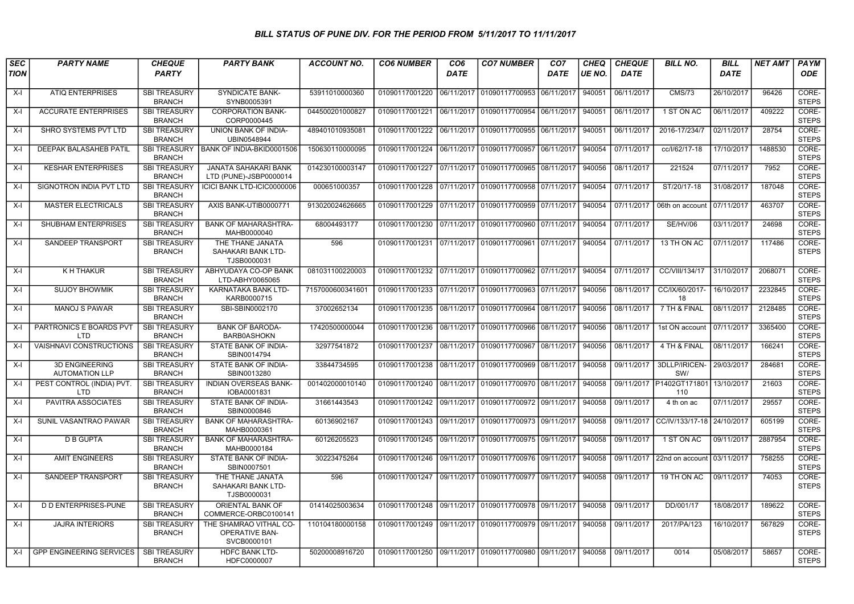## BILL STATUS OF PUNE DIV. FOR THE PERIOD FROM 5/11/2017 TO 11/11/2017

| <b>SEC</b><br><b>TION</b> | <b>PARTY NAME</b>                              | <b>CHEQUE</b><br><b>PARTY</b>        | <b>PARTY BANK</b>                                              | <b>ACCOUNT NO.</b> | <b>CO6 NUMBER</b>                                   | CO <sub>6</sub><br><b>DATE</b> | <b>CO7 NUMBER</b>                        | CO <sub>7</sub><br><b>DATE</b> | <b>CHEQ</b><br>UE NO. | <b>CHEQUE</b><br><b>DATE</b> | <b>BILL NO.</b>                            | <b>BILL</b><br><b>DATE</b> | <b>NET AMT</b> | <b>PAYM</b><br><b>ODE</b> |
|---------------------------|------------------------------------------------|--------------------------------------|----------------------------------------------------------------|--------------------|-----------------------------------------------------|--------------------------------|------------------------------------------|--------------------------------|-----------------------|------------------------------|--------------------------------------------|----------------------------|----------------|---------------------------|
| $X-I$                     | <b>ATIQ ENTERPRISES</b>                        | <b>SBI TREASURY</b><br><b>BRANCH</b> | <b>SYNDICATE BANK-</b><br>SYNB0005391                          | 53911010000360     | 01090117001220 06/11/2017 01090117700953 06/11/2017 |                                |                                          |                                | 940051                | 06/11/2017                   | <b>CMS/73</b>                              | 26/10/2017                 | 96426          | CORE-<br><b>STEPS</b>     |
| X-l                       | <b>ACCURATE ENTERPRISES</b>                    | <b>SBI TREASURY</b><br><b>BRANCH</b> | <b>CORPORATION BANK-</b><br>CORP0000445                        | 044500201000827    | 01090117001221                                      |                                | 06/11/2017 01090117700954 06/11/2017     |                                | 940051                | 06/11/2017                   | 1 ST ON AC                                 | 06/11/2017                 | 409222         | CORE-<br><b>STEPS</b>     |
| X-I                       | SHRO SYSTEMS PVT LTD                           | <b>SBI TREASURY</b><br><b>BRANCH</b> | UNION BANK OF INDIA-<br>UBIN0548944                            | 489401010935081    | 01090117001222                                      |                                | 06/11/2017 01090117700955 06/11/2017     |                                | 940051                | 06/11/2017                   | 2016-17/234/7                              | 02/11/2017                 | 28754          | CORE-<br><b>STEPS</b>     |
| $X-I$                     | <b>DEEPAK BALASAHEB PATIL</b>                  | <b>SBI TREASURY</b><br><b>BRANCH</b> | BANK OF INDIA-BKID0001506                                      | 150630110000095    | 01090117001224 06/11/2017 01090117700957 06/11/2017 |                                |                                          |                                | 940054                | 07/11/2017                   | cc/l/62/17-18                              | 17/10/2017                 | 1488530        | CORE-<br><b>STEPS</b>     |
| X-I                       | <b>KESHAR ENTERPRISES</b>                      | <b>SBI TREASURY</b><br><b>BRANCH</b> | <b>JANATA SAHAKARI BANK</b><br>LTD (PUNE)-JSBP0000014          | 014230100003147    | 01090117001227 07/11/2017 01090117700965 08/11/2017 |                                |                                          |                                | 940056                | 08/11/2017                   | 221524                                     | 07/11/2017                 | 7952           | CORE-<br><b>STEPS</b>     |
| $X-I$                     | SIGNOTRON INDIA PVT LTD                        | <b>SBI TREASURY</b><br><b>BRANCH</b> | ICICI BANK LTD-ICIC0000006                                     | 000651000357       | 01090117001228 07/11/2017 01090117700958 07/11/2017 |                                |                                          |                                | 940054                | 07/11/2017                   | ST/20/17-18                                | 31/08/2017                 | 187048         | CORE-<br><b>STEPS</b>     |
| X-I                       | <b>MASTER ELECTRICALS</b>                      | <b>SBI TREASURY</b><br><b>BRANCH</b> | AXIS BANK-UTIB0000771                                          | 913020024626665    | 01090117001229 07/11/2017 01090117700959 07/11/2017 |                                |                                          |                                | 940054                | 07/11/2017                   | 06th on account                            | 07/11/2017                 | 463707         | CORE-<br><b>STEPS</b>     |
| X-I                       | <b>SHUBHAM ENTERPRISES</b>                     | <b>SBI TREASURY</b><br><b>BRANCH</b> | <b>BANK OF MAHARASHTRA-</b><br>MAHB0000040                     | 68004493177        | 01090117001230 07/11/2017 01090117700960 07/11/2017 |                                |                                          |                                | 940054                | 07/11/2017                   | <b>SE/HV/06</b>                            | 03/11/2017                 | 24698          | CORE-<br><b>STEPS</b>     |
| X-I                       | SANDEEP TRANSPORT                              | <b>SBI TREASURY</b><br><b>BRANCH</b> | THE THANE JANATA<br>SAHAKARI BANK LTD-<br>TJSB0000031          | 596                | 01090117001231                                      |                                | 07/11/2017   01090117700961   07/11/2017 |                                | 940054                | 07/11/2017                   | 13 TH ON AC                                | 07/11/2017                 | 117486         | CORE-<br><b>STEPS</b>     |
| $X-I$                     | K H THAKUR                                     | <b>SBI TREASURY</b><br><b>BRANCH</b> | ABHYUDAYA CO-OP BANK<br>LTD-ABHY0065065                        | 081031100220003    | 01090117001232                                      |                                | 07/11/2017 01090117700962 07/11/2017     |                                | 940054                | 07/11/2017                   | CC/VIII/134/17                             | 31/10/2017                 | 2068071        | CORE-<br><b>STEPS</b>     |
| X-I                       | <b>SUJOY BHOWMIK</b>                           | <b>SBI TREASURY</b><br><b>BRANCH</b> | KARNATAKA BANK LTD-<br>KARB0000715                             | 7157000600341601   | 01090117001233 07/11/2017 01090117700963 07/11/2017 |                                |                                          |                                | 940056                | 08/11/2017                   | CC/IX/60/2017-<br>18                       | 16/10/2017                 | 2232845        | CORE-<br><b>STEPS</b>     |
| $X-I$                     | <b>MANOJ S PAWAR</b>                           | <b>SBI TREASURY</b><br><b>BRANCH</b> | SBI-SBIN0002170                                                | 37002652134        | 01090117001235                                      |                                | 08/11/2017 01090117700964                | 08/11/2017                     | 940056                | 08/11/2017                   | 7 TH & FINAL                               | 08/11/2017                 | 2128485        | CORE-<br><b>STEPS</b>     |
| X-I                       | PARTRONICS E BOARDS PVT<br>LTD                 | <b>SBI TREASURY</b><br><b>BRANCH</b> | <b>BANK OF BARODA-</b><br><b>BARB0ASHOKN</b>                   | 17420500000044     | 01090117001236 08/11/2017 01090117700966 08/11/2017 |                                |                                          |                                | 940056                | 08/11/2017                   | 1st ON account                             | 07/11/2017                 | 3365400        | CORE-<br><b>STEPS</b>     |
| X-l                       | VAISHNAVI CONSTRUCTIONS                        | <b>SBI TREASURY</b><br><b>BRANCH</b> | STATE BANK OF INDIA-<br>SBIN0014794                            | 32977541872        | 01090117001237                                      |                                | 08/11/2017   01090117700967   08/11/2017 |                                | 940056                | 08/11/2017                   | 4 TH & FINAL                               | 08/11/2017                 | 166241         | CORE-<br><b>STEPS</b>     |
| X-l                       | <b>3D ENGINEERING</b><br><b>AUTOMATION LLP</b> | <b>SBI TREASURY</b><br><b>BRANCH</b> | STATE BANK OF INDIA-<br>SBIN0013280                            | 33844734595        | 01090117001238 08/11/2017 01090117700969 08/11/2017 |                                |                                          |                                | 940058                | 09/11/2017                   | 3DLLP/IRICEN- 29/03/2017<br>SW/            |                            | 284681         | CORE-<br><b>STEPS</b>     |
| X-I                       | PEST CONTROL (INDIA) PVT.<br><b>LTD</b>        | <b>SBI TREASURY</b><br><b>BRANCH</b> | <b>INDIAN OVERSEAS BANK-</b><br>IOBA0001831                    | 001402000010140    |                                                     |                                |                                          |                                | 940058                |                              | 09/11/2017 P1402GT171801 13/10/2017<br>110 |                            | 21603          | CORE-<br><b>STEPS</b>     |
| $X-I$                     | PAVITRA ASSOCIATES                             | <b>SBI TREASURY</b><br><b>BRANCH</b> | STATE BANK OF INDIA-<br>SBIN0000846                            | 31661443543        | 01090117001242 09/11/2017 01090117700972 09/11/2017 |                                |                                          |                                | 940058                | 09/11/2017                   | 4 th on ac                                 | 07/11/2017                 | 29557          | CORE-<br><b>STEPS</b>     |
| X-I                       | SUNIL VASANTRAO PAWAR                          | <b>SBI TREASURY</b><br><b>BRANCH</b> | <b>BANK OF MAHARASHTRA-</b><br>MAHB0000361                     | 60136902167        | 01090117001243                                      |                                | 09/11/2017 01090117700973 09/11/2017     |                                | 940058                | 09/11/2017                   | CC/IV/133/17-18 24/10/2017                 |                            | 605199         | CORE-<br><b>STEPS</b>     |
| X-I                       | <b>D B GUPTA</b>                               | <b>SBI TREASURY</b><br><b>BRANCH</b> | <b>BANK OF MAHARASHTRA-</b><br>MAHB0000184                     | 60126205523        | 01090117001245 09/11/2017 01090117700975 09/11/2017 |                                |                                          |                                | 940058                | 09/11/2017                   | 1 ST ON AC                                 | 09/11/2017                 | 2887954        | CORE-<br><b>STEPS</b>     |
| X-I                       | <b>AMIT ENGINEERS</b>                          | <b>SBI TREASURY</b><br><b>BRANCH</b> | STATE BANK OF INDIA-<br>SBIN0007501                            | 30223475264        | 01090117001246 09/11/2017 01090117700976 09/11/2017 |                                |                                          |                                | 940058                | 09/11/2017                   | 22nd on account                            | 03/11/2017                 | 758255         | CORE-<br><b>STEPS</b>     |
| $X-I$                     | SANDEEP TRANSPORT                              | <b>SBI TREASURY</b><br><b>BRANCH</b> | THE THANE JANATA<br>SAHAKARI BANK LTD-<br>TJSB0000031          | 596                | 01090117001247 09/11/2017 01090117700977 09/11/2017 |                                |                                          |                                | 940058                | 09/11/2017                   | 19 TH ON AC                                | 09/11/2017                 | 74053          | CORE-<br><b>STEPS</b>     |
| X-I                       | <b>D D ENTERPRISES-PUNE</b>                    | <b>SBI TREASURY</b><br><b>BRANCH</b> | ORIENTAL BANK OF<br>COMMERCE-ORBC0100141                       | 01414025003634     | 01090117001248 09/11/2017 01090117700978 09/11/2017 |                                |                                          |                                | 940058                | 09/11/2017                   | DD/001/17                                  | 18/08/2017                 | 189622         | CORE-<br><b>STEPS</b>     |
| $X-I$                     | <b>JAJRA INTERIORS</b>                         | <b>SBI TREASURY</b><br><b>BRANCH</b> | THE SHAMRAO VITHAL CO-<br><b>OPERATIVE BAN-</b><br>SVCB0000101 | 110104180000158    | 01090117001249 09/11/2017 01090117700979 09/11/2017 |                                |                                          |                                | 940058                | 09/11/2017                   | 2017/PA/123                                | 16/10/2017                 | 567829         | CORE-<br><b>STEPS</b>     |
| X-I                       | <b>GPP ENGINEERING SERVICES</b>                | <b>SBI TREASURY</b><br><b>BRANCH</b> | <b>HDFC BANK LTD-</b><br>HDFC0000007                           | 50200008916720     | 01090117001250 09/11/2017 01090117700980 09/11/2017 |                                |                                          |                                | 940058                | 09/11/2017                   | 0014                                       | 05/08/2017                 | 58657          | CORE-<br><b>STEPS</b>     |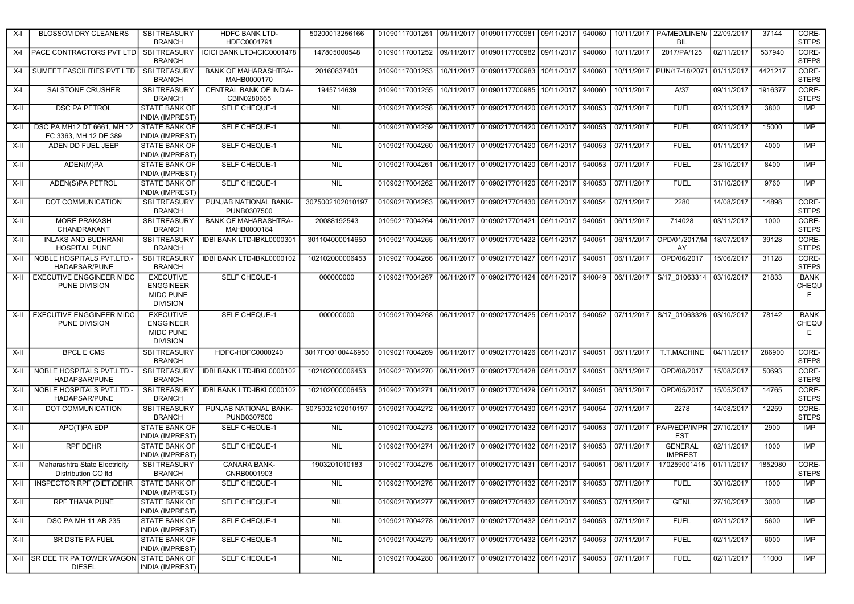| X-I   | <b>BLOSSOM DRY CLEANERS</b>                                  | <b>SBI TREASURY</b><br><b>BRANCH</b>                                        | <b>HDFC BANK LTD-</b><br>HDFC0001791         | 50200013256166   | 01090117001251                                                        | 09/11/2017 01090117700981 09/11/2017                                                           | 940060 |                   | 10/11/2017   PA/MED/LINEN/ 22/09/2017<br><b>BIL</b>      |            | 37144   | CORE-<br><b>STEPS</b>     |
|-------|--------------------------------------------------------------|-----------------------------------------------------------------------------|----------------------------------------------|------------------|-----------------------------------------------------------------------|------------------------------------------------------------------------------------------------|--------|-------------------|----------------------------------------------------------|------------|---------|---------------------------|
| X-I   | <b>PACE CONTRACTORS PVT LTD</b>                              | <b>SBI TREASURY</b><br><b>BRANCH</b>                                        | ICICI BANK LTD-ICIC0001478                   | 147805000548     |                                                                       | 01090117001252 09/11/2017 01090117700982 09/11/2017                                            | 940060 | 10/11/2017        | 2017/PA/125                                              | 02/11/2017 | 537940  | CORE-<br><b>STEPS</b>     |
| X-I   | SUMEET FASCILITIES PVT LTD                                   | <b>SBI TREASURY</b><br><b>BRANCH</b>                                        | <b>BANK OF MAHARASHTRA-</b><br>MAHB0000170   | 20160837401      |                                                                       | 01090117001253 10/11/2017 01090117700983 10/11/2017                                            | 940060 |                   | 10/11/2017   PUN/17-18/2071   01/11/2017                 |            | 4421217 | CORE-<br><b>STEPS</b>     |
| X-I   | SAI STONE CRUSHER                                            | <b>SBI TREASURY</b><br><b>BRANCH</b>                                        | <b>CENTRAL BANK OF INDIA-</b><br>CBIN0280665 | 1945714639       | 01090117001255                                                        | 10/11/2017 01090117700985 10/11/2017                                                           | 940060 | 10/11/2017        | A/37                                                     | 09/11/2017 | 1916377 | CORE-<br><b>STEPS</b>     |
| X-II  | <b>DSC PA PETROL</b>                                         | <b>STATE BANK OF</b><br><b>INDIA (IMPREST)</b>                              | <b>SELF CHEQUE-1</b>                         | <b>NIL</b>       | 01090217004258                                                        | 06/11/2017 01090217701420 06/11/2017                                                           | 940053 | 07/11/2017        | <b>FUEL</b>                                              | 02/11/2017 | 3800    | <b>IMP</b>                |
| X-II  | DSC PA MH12 DT 6661, MH 12<br>FC 3363. MH 12 DE 389          | <b>STATE BANK OF</b><br><b>INDIA (IMPREST)</b>                              | <b>SELF CHEQUE-1</b>                         | NIL              | 01090217004259                                                        | 06/11/2017 01090217701420 06/11/2017                                                           | 940053 | 07/11/2017        | <b>FUEL</b>                                              | 02/11/2017 | 15000   | <b>IMP</b>                |
| X-II  | ADEN DD FUEL JEEP                                            | STATE BANK OF<br><b>INDIA (IMPREST)</b>                                     | SELF CHEQUE-1                                | <b>NIL</b>       | 01090217004260                                                        | 06/11/2017 01090217701420 06/11/2017                                                           |        | 940053 07/11/2017 | <b>FUEL</b>                                              | 01/11/2017 | 4000    | <b>IMP</b>                |
| X-II  | ADEN(M)PA                                                    | <b>STATE BANK OF</b><br><b>INDIA (IMPREST)</b>                              | <b>SELF CHEQUE-1</b>                         | <b>NIL</b>       | 01090217004261                                                        | 06/11/2017 01090217701420 06/11/2017                                                           |        | 940053 07/11/2017 | <b>FUEL</b>                                              | 23/10/2017 | 8400    | <b>IMP</b>                |
| X-II  | <b>ADEN(S)PA PETROL</b>                                      | <b>STATE BANK OF</b><br><b>INDIA (IMPREST)</b>                              | <b>SELF CHEQUE-1</b>                         | NIL              |                                                                       | 01090217004262 06/11/2017 01090217701420 06/11/2017                                            |        | 940053 07/11/2017 | <b>FUEL</b>                                              | 31/10/2017 | 9760    | <b>IMP</b>                |
| X-II  | DOT COMMUNICATION                                            | <b>SBI TREASURY</b><br><b>BRANCH</b>                                        | PUNJAB NATIONAL BANK-<br>PUNB0307500         | 3075002102010197 | 01090217004263                                                        | 06/11/2017 01090217701430 06/11/2017                                                           |        | 940054 07/11/2017 | 2280                                                     | 14/08/2017 | 14898   | CORE-<br><b>STEPS</b>     |
| X-II  | <b>MORE PRAKASH</b><br>CHANDRAKANT                           | <b>SBI TREASURY</b><br><b>BRANCH</b>                                        | <b>BANK OF MAHARASHTRA-</b><br>MAHB0000184   | 20088192543      | 01090217004264                                                        | 06/11/2017 01090217701421 06/11/2017 940051 06/11/2017                                         |        |                   | 714028                                                   | 03/11/2017 | 1000    | CORE-<br><b>STEPS</b>     |
| X-II  | <b>INLAKS AND BUDHRANI</b><br><b>HOSPITAL PUNE</b>           | <b>SBI TREASURY</b><br><b>BRANCH</b>                                        | IDBI BANK LTD-IBKL0000301                    | 301104000014650  |                                                                       | 01090217004265   06/11/2017   01090217701422   06/11/2017                                      | 940051 | 06/11/2017        | OPD/01/2017/M<br>AY                                      | 18/07/2017 | 39128   | CORE-<br><b>STEPS</b>     |
| X-II  | NOBLE HOSPITALS PVT.LTD.-<br>HADAPSAR/PUNE                   | <b>SBI TREASURY</b><br><b>BRANCH</b>                                        | IDBI BANK LTD-IBKL0000102                    | 102102000006453  | 01090217004266 06/11/2017 01090217701427 06/11/2017 940051 06/11/2017 |                                                                                                |        |                   | OPD/06/2017                                              | 15/06/2017 | 31128   | CORE-<br><b>STEPS</b>     |
| X-II  | <b>EXECUTIVE ENGGINEER MIDC</b><br>PUNE DIVISION             | <b>EXECUTIVE</b><br><b>ENGGINEER</b><br><b>MIDC PUNE</b><br><b>DIVISION</b> | <b>SELF CHEQUE-1</b>                         | 000000000        | 01090217004267                                                        | 06/11/2017 01090217701424 06/11/2017                                                           |        |                   | 940049 06/11/2017 S/17 01063314 03/10/2017               |            | 21833   | <b>BANK</b><br>CHEQU<br>E |
| X-II  | <b>EXECUTIVE ENGGINEER MIDC</b><br>PUNE DIVISION             | <b>EXECUTIVE</b><br><b>ENGGINEER</b><br>MIDC PUNE<br><b>DIVISION</b>        | SELF CHEQUE-1                                | 000000000        |                                                                       | 01090217004268 06/11/2017 01090217701425 06/11/2017 940052 07/11/2017 S/17 01063326 03/10/2017 |        |                   |                                                          |            | 78142   | <b>BANK</b><br>CHEQU<br>E |
| $X-H$ | <b>BPCL E CMS</b>                                            | <b>SBI TREASURY</b><br><b>BRANCH</b>                                        | HDFC-HDFC0000240                             | 3017FO0100446950 | 01090217004269 06/11/2017 01090217701426 06/11/2017                   |                                                                                                | 940051 | 06/11/2017        | T.T.MACHINE                                              | 04/11/2017 | 286900  | CORE-<br><b>STEPS</b>     |
| X-II  | NOBLE HOSPITALS PVT.LTD.<br>HADAPSAR/PUNE                    | <b>SBI TREASURY</b><br><b>BRANCH</b>                                        | IDBI BANK LTD-IBKL0000102                    | 102102000006453  | 01090217004270                                                        | 06/11/2017 01090217701428 06/11/2017                                                           | 940051 | 06/11/2017        | OPD/08/2017                                              | 15/08/2017 | 50693   | CORE-<br><b>STEPS</b>     |
| X-II  | NOBLE HOSPITALS PVT.LTD.<br>HADAPSAR/PUNE                    | <b>SBI TREASURY</b><br><b>BRANCH</b>                                        | IDBI BANK LTD-IBKL0000102                    | 102102000006453  | 01090217004271                                                        | 06/11/2017 01090217701429 06/11/2017                                                           | 940051 | 06/11/2017        | OPD/05/2017                                              | 15/05/2017 | 14765   | CORE-<br><b>STEPS</b>     |
| X-II  | DOT COMMUNICATION                                            | <b>SBI TREASURY</b><br><b>BRANCH</b>                                        | PUNJAB NATIONAL BANK-<br>PUNB0307500         | 3075002102010197 | 01090217004272 06/11/2017 01090217701430 06/11/2017                   |                                                                                                |        | 940054 07/11/2017 | 2278                                                     | 14/08/2017 | 12259   | CORE-<br><b>STEPS</b>     |
| X-II  | APO(T)PA EDP                                                 | STATE BANK OF<br><b>INDIA (IMPREST)</b>                                     | <b>SELF CHEQUE-1</b>                         | <b>NIL</b>       |                                                                       | 01090217004273 06/11/2017 01090217701432 06/11/2017                                            |        |                   | 940053 07/11/2017 PA/P/EDP/IMPR 27/10/2017<br><b>EST</b> |            | 2900    | IMP                       |
| X-II  | <b>RPF DEHR</b>                                              | <b>STATE BANK OF</b><br><b>INDIA (IMPREST)</b>                              | <b>SELF CHEQUE-1</b>                         | <b>NIL</b>       | 01090217004274                                                        | 06/11/2017 01090217701432 06/11/2017                                                           |        | 940053 07/11/2017 | <b>GENERAL</b><br><b>IMPREST</b>                         | 02/11/2017 | 1000    | <b>IMP</b>                |
| X-II  | Maharashtra State Electricity<br>Distribution CO Itd         | <b>SBI TREASURY</b><br><b>BRANCH</b>                                        | CANARA BANK-<br>CNRB0001903                  | 1903201010183    | 01090217004275 06/11/2017 01090217701431 06/11/2017 940051            |                                                                                                |        | 06/11/2017        | 170259001415 01/11/2017                                  |            | 1852980 | CORE-<br><b>STEPS</b>     |
|       | X-II INSPECTOR RPF (DIET) DEHR STATE BANK OF                 | <b>INDIA (IMPREST)</b>                                                      | <b>SELF CHEQUE-1</b>                         | <b>NIL</b>       | 01090217004276 06/11/2017 01090217701432 06/11/2017 940053 07/11/2017 |                                                                                                |        |                   | <b>FUEL</b>                                              | 30/10/2017 | 1000    | IMP                       |
| X-II  | RPF THANA PUNE                                               | <b>STATE BANK OF</b><br><b>INDIA (IMPREST)</b>                              | <b>SELF CHEQUE-1</b>                         | NIL              |                                                                       | 01090217004277 06/11/2017 01090217701432 06/11/2017 940053 07/11/2017                          |        |                   | <b>GENL</b>                                              | 27/10/2017 | 3000    | IMP                       |
| X-II  | DSC PA MH 11 AB 235                                          | <b>STATE BANK OF</b><br><b>INDIA (IMPREST)</b>                              | SELF CHEQUE-1                                | <b>NIL</b>       |                                                                       | 01090217004278 06/11/2017 01090217701432 06/11/2017 940053 07/11/2017                          |        |                   | <b>FUEL</b>                                              | 02/11/2017 | 5600    | IMP                       |
| X-II  | <b>SR DSTE PA FUEL</b>                                       | STATE BANK OF<br><b>INDIA (IMPREST)</b>                                     | SELF CHEQUE-1                                | NIL              |                                                                       |                                                                                                |        | 940053 07/11/2017 | <b>FUEL</b>                                              | 02/11/2017 | 6000    | IMP                       |
|       | X-II SR DEE TR PA TOWER WAGON STATE BANK OF<br><b>DIESEL</b> | <b>INDIA (IMPREST)</b>                                                      | SELF CHEQUE-1                                | NIL              | 01090217004280                                                        | 06/11/2017 01090217701432 06/11/2017 940053 07/11/2017                                         |        |                   | <b>FUEL</b>                                              | 02/11/2017 | 11000   | IMP                       |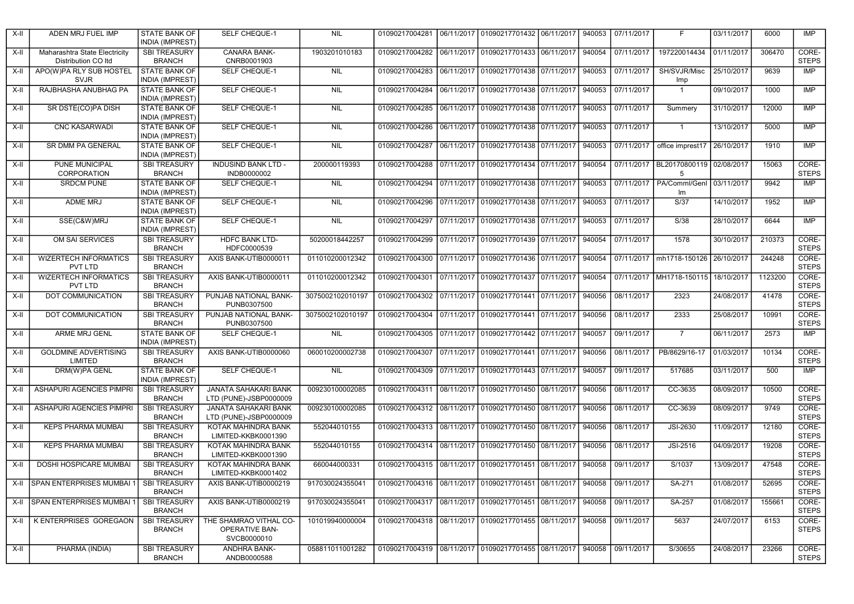| X-II | ADEN MRJ FUEL IMP                                           | STATE BANK OF<br><b>INDIA (IMPREST)</b>        | SELF CHEQUE-1                                                                                               | <b>NIL</b>       | 01090217004281                                      | 06/11/2017 01090217701432 06/11/2017 | 940053 | 07/11/2017 | F                                       | 03/11/2017 | 6000    | <b>IMP</b>            |
|------|-------------------------------------------------------------|------------------------------------------------|-------------------------------------------------------------------------------------------------------------|------------------|-----------------------------------------------------|--------------------------------------|--------|------------|-----------------------------------------|------------|---------|-----------------------|
| X-II | Maharashtra State Electricity<br><b>Distribution CO Itd</b> | <b>SBI TREASURY</b><br><b>BRANCH</b>           | <b>CANARA BANK-</b><br>CNRB0001903                                                                          | 1903201010183    | 01090217004282 06/11/2017 01090217701433 06/11/2017 |                                      | 940054 | 07/11/2017 | 197220014434                            | 01/11/2017 | 306470  | CORE-<br><b>STEPS</b> |
| X-II | APO(W)PA RLY SUB HOSTEL<br><b>SVJR</b>                      | <b>STATE BANK OF</b><br><b>INDIA (IMPREST)</b> | <b>SELF CHEQUE-1</b>                                                                                        | NIL              | 01090217004283 06/11/2017 01090217701438 07/11/2017 |                                      | 940053 | 07/11/2017 | SH/SVJR/Misc<br>Imp                     | 25/10/2017 | 9639    | IMP                   |
| X-II | RAJBHASHA ANUBHAG PA                                        | <b>STATE BANK OF</b><br><b>INDIA (IMPREST)</b> | <b>SELF CHEQUE-1</b>                                                                                        | <b>NIL</b>       | 01090217004284 06/11/2017 01090217701438 07/11/2017 |                                      | 940053 | 07/11/2017 | $\overline{1}$                          | 09/10/2017 | 1000    | <b>IMP</b>            |
| X-II | SR DSTE(CO)PA DISH                                          | <b>STATE BANK OF</b><br><b>INDIA (IMPREST)</b> | SELF CHEQUE-1                                                                                               | <b>NIL</b>       |                                                     |                                      | 940053 | 07/11/2017 | Summery                                 | 31/10/2017 | 12000   | <b>IMP</b>            |
| X-II | <b>CNC KASARWADI</b>                                        | <b>STATE BANK OF</b><br><b>INDIA (IMPREST)</b> | <b>SELF CHEQUE-1</b>                                                                                        | <b>NIL</b>       |                                                     |                                      | 940053 | 07/11/2017 | $\mathbf{1}$                            | 13/10/2017 | 5000    | IMP                   |
| X-II | SR DMM PA GENERAL                                           | <b>STATE BANK OF</b><br><b>INDIA (IMPREST)</b> | <b>SELF CHEQUE-1</b>                                                                                        | <b>NIL</b>       | 01090217004287 06/11/2017 01090217701438 07/11/2017 |                                      | 940053 | 07/11/2017 | office imprest17                        | 26/10/2017 | 1910    | IMP                   |
| X-II | PUNE MUNICIPAL<br>CORPORATION                               | <b>SBI TREASURY</b><br><b>BRANCH</b>           | <b>INDUSIND BANK LTD -</b><br>INDB0000002                                                                   | 200000119393     | 01090217004288                                      | 07/11/2017 01090217701434 07/11/2017 | 940054 | 07/11/2017 | BL20170800119 02/08/2017<br>5           |            | 15063   | CORE-<br><b>STEPS</b> |
| X-II | <b>SRDCM PUNE</b>                                           | <b>STATE BANK OF</b><br><b>INDIA (IMPREST)</b> | <b>SELF CHEQUE-1</b>                                                                                        | <b>NIL</b>       | 01090217004294                                      | 07/11/2017 01090217701438 07/11/2017 | 940053 |            | 07/11/2017   PA/Comml/Genl<br>Im        | 03/11/2017 | 9942    | <b>IMP</b>            |
| X-II | <b>ADME MRJ</b>                                             | <b>STATE BANK OF</b><br><b>INDIA (IMPREST)</b> | <b>SELF CHEQUE-1</b>                                                                                        | NIL              | 01090217004296                                      | 07/11/2017 01090217701438 07/11/2017 | 940053 | 07/11/2017 | S/37                                    | 14/10/2017 | 1952    | IMP                   |
| X-II | SSE(C&W)MRJ                                                 | <b>STATE BANK OF</b><br><b>INDIA (IMPREST)</b> | SELF CHEQUE-1                                                                                               | <b>NIL</b>       | 01090217004297 07/11/2017 01090217701438 07/11/2017 |                                      | 940053 | 07/11/2017 | S/38                                    | 28/10/2017 | 6644    | <b>IMP</b>            |
| X-II | OM SAI SERVICES                                             | <b>SBI TREASURY</b><br><b>BRANCH</b>           | <b>HDFC BANK LTD-</b><br>HDFC0000539                                                                        | 50200018442257   | 01090217004299                                      | 07/11/2017 01090217701439 07/11/2017 | 940054 | 07/11/2017 | 1578                                    | 30/10/2017 | 210373  | CORE-<br><b>STEPS</b> |
| X-II | <b>WIZERTECH INFORMATICS</b><br>PVT LTD                     | <b>SBI TREASURY</b><br><b>BRANCH</b>           | AXIS BANK-UTIB0000011                                                                                       | 011010200012342  | 01090217004300 07/11/2017 01090217701436 07/11/2017 |                                      | 940054 |            | 07/11/2017   mh1718-150126              | 26/10/2017 | 244248  | CORE-<br><b>STEPS</b> |
| X-II | <b>WIZERTECH INFORMATICS</b><br>PVT LTD                     | <b>SBI TREASURY</b><br><b>BRANCH</b>           | AXIS BANK-UTIB0000011                                                                                       | 011010200012342  | 01090217004301 07/11/2017 01090217701437 07/11/2017 |                                      | 940054 |            | 07/11/2017   MH1718-150115   18/10/2017 |            | 1123200 | CORE-<br><b>STEPS</b> |
| X-II | DOT COMMUNICATION                                           | <b>SBI TREASURY</b><br><b>BRANCH</b>           | PUNJAB NATIONAL BANK-<br>PUNB0307500                                                                        | 3075002102010197 | 01090217004302 07/11/2017 01090217701441 07/11/2017 |                                      | 940056 | 08/11/2017 | 2323                                    | 24/08/2017 | 41478   | CORE-<br><b>STEPS</b> |
| X-II | DOT COMMUNICATION                                           | <b>SBI TREASURY</b><br><b>BRANCH</b>           | PUNJAB NATIONAL BANK-<br>PUNB0307500                                                                        | 3075002102010197 | 01090217004304 07/11/2017 01090217701441 07/11/2017 |                                      | 940056 | 08/11/2017 | 2333                                    | 25/08/2017 | 10991   | CORE-<br><b>STEPS</b> |
| X-II | ARME MRJ GENL                                               | STATE BANK OF<br><b>INDIA (IMPREST)</b>        | <b>SELF CHEQUE-1</b>                                                                                        | <b>NIL</b>       | 01090217004305 07/11/2017 01090217701442 07/11/2017 |                                      | 940057 | 09/11/2017 | $\overline{7}$                          | 06/11/2017 | 2573    | IMP                   |
| X-II | <b>GOLDMINE ADVERTISING</b><br>LIMITED                      | <b>SBI TREASURY</b><br><b>BRANCH</b>           | AXIS BANK-UTIB0000060                                                                                       | 060010200002738  | 01090217004307                                      | 07/11/2017 01090217701441 07/11/2017 | 940056 | 08/11/2017 | PB/8629/16-17                           | 01/03/2017 | 10134   | CORE-<br><b>STEPS</b> |
| X-II | DRM(W)PA GENL                                               | <b>STATE BANK OF</b><br><b>INDIA (IMPREST)</b> | <b>SELF CHEQUE-1</b>                                                                                        | <b>NIL</b>       | 01090217004309 07/11/2017 01090217701443 07/11/2017 |                                      | 940057 | 09/11/2017 | 517685                                  | 03/11/2017 | 500     | IMP                   |
| X-II | ASHAPURI AGENCIES PIMPRI                                    | <b>SBI TREASURY</b><br><b>BRANCH</b>           | JANATA SAHAKARI BANK<br>LTD (PUNE)-JSBP0000009                                                              | 009230100002085  | 01090217004311 08/11/2017 01090217701450 08/11/2017 |                                      | 940056 | 08/11/2017 | CC-3635                                 | 08/09/2017 | 10500   | CORE-<br><b>STEPS</b> |
| X-II | <b>ASHAPURI AGENCIES PIMPRI</b>                             | <b>SBI TREASURY</b><br><b>BRANCH</b>           | JANATA SAHAKARI BANK<br>LTD (PUNE)-JSBP0000009                                                              | 009230100002085  | 01090217004312 08/11/2017 01090217701450 08/11/2017 |                                      | 940056 | 08/11/2017 | CC-3639                                 | 08/09/2017 | 9749    | CORE-<br><b>STEPS</b> |
| X-II | <b>KEPS PHARMA MUMBAL</b>                                   | <b>SBI TREASURY</b><br><b>BRANCH</b>           | KOTAK MAHINDRA BANK<br>LIMITED-KKBK0001390                                                                  | 552044010155     | 01090217004313 08/11/2017 01090217701450 08/11/2017 |                                      | 940056 | 08/11/2017 | <b>JSI-2630</b>                         | 11/09/2017 | 12180   | CORE-<br><b>STEPS</b> |
| X-II | <b>KEPS PHARMA MUMBAI</b>                                   | <b>SBI TREASURY</b><br><b>BRANCH</b>           | KOTAK MAHINDRA BANK<br>LIMITED-KKBK0001390                                                                  | 552044010155     | 01090217004314 08/11/2017 01090217701450 08/11/2017 |                                      | 940056 | 08/11/2017 | <b>JSI-2516</b>                         | 04/09/2017 | 19208   | CORE-<br><b>STEPS</b> |
| X-II | DOSHI HOSPICARE MUMBAI                                      | <b>SBI TREASURY</b><br><b>BRANCH</b>           | KOTAK MAHINDRA BANK<br>LIMITED-KKBK0001402                                                                  | 660044000331     | 01090217004315 08/11/2017 01090217701451 08/11/2017 |                                      | 940058 | 09/11/2017 | S/1037                                  | 13/09/2017 | 47548   | CORE-<br><b>STEPS</b> |
|      | X-II SPAN ENTERPRISES MUMBAI 1 SBI TREASURY                 | <b>BRANCH</b>                                  | AXIS BANK-UTIB0000219 917030024355041 01090217004316 08/11/2017 01090217701451 08/11/2017 940058 09/11/2017 |                  |                                                     |                                      |        |            | SA-271                                  | 01/08/2017 | 52695   | CORE-<br><b>STEPS</b> |
|      | X-II SPAN ENTERPRISES MUMBAI 1                              | <b>SBI TREASURY</b><br><b>BRANCH</b>           | AXIS BANK-UTIB0000219                                                                                       | 917030024355041  | 01090217004317 08/11/2017 01090217701451 08/11/2017 |                                      | 940058 | 09/11/2017 | SA-257                                  | 01/08/2017 | 155661  | CORE-<br><b>STEPS</b> |
| X-II | K ENTERPRISES GOREGAON                                      | <b>SBI TREASURY</b><br><b>BRANCH</b>           | THE SHAMRAO VITHAL CO-<br>OPERATIVE BAN-<br>SVCB0000010                                                     | 101019940000004  |                                                     |                                      | 940058 | 09/11/2017 | 5637                                    | 24/07/2017 | 6153    | CORE-<br><b>STEPS</b> |
| X-II | PHARMA (INDIA)                                              | <b>SBI TREASURY</b><br><b>BRANCH</b>           | ANDHRA BANK-<br>ANDB0000588                                                                                 | 058811011001282  |                                                     |                                      | 940058 | 09/11/2017 | S/30655                                 | 24/08/2017 | 23266   | CORE-<br><b>STEPS</b> |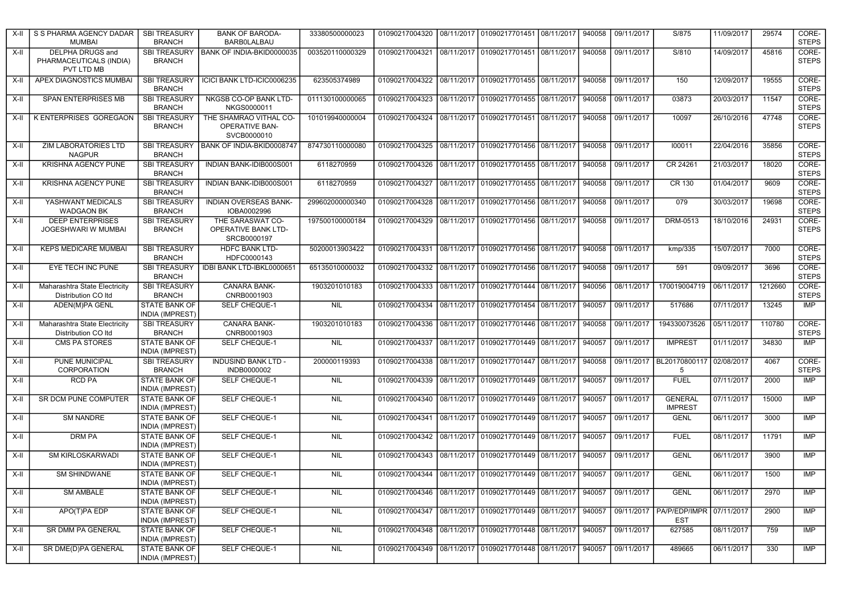| X-II   | S S PHARMA AGENCY DADAR<br><b>MUMBAI</b>                  | <b>SBI TREASURY</b><br><b>BRANCH</b>           | <b>BANK OF BARODA-</b><br><b>BARBOLALBAU</b>            | 33380500000023  | 01090217004320                                      | 08/11/2017   01090217701451   08/11/2017                  | 940058 | 09/11/2017        | S/875                                                 | 11/09/2017 | 29574   | CORE-<br><b>STEPS</b> |
|--------|-----------------------------------------------------------|------------------------------------------------|---------------------------------------------------------|-----------------|-----------------------------------------------------|-----------------------------------------------------------|--------|-------------------|-------------------------------------------------------|------------|---------|-----------------------|
| X-II   | DELPHA DRUGS and<br>PHARMACEUTICALS (INDIA)<br>PVT LTD MB | <b>BRANCH</b>                                  | SBI TREASURY   BANK OF INDIA-BKID0000035                | 003520110000329 |                                                     | 01090217004321 08/11/2017 01090217701451 08/11/2017       | 940058 | 09/11/2017        | S/810                                                 | 14/09/2017 | 45816   | CORE-<br><b>STEPS</b> |
| X-II   | APEX DIAGNOSTICS MUMBAI                                   | <b>SBI TREASURY</b><br><b>BRANCH</b>           | ICICI BANK LTD-ICIC0006235                              | 623505374989    |                                                     | 01090217004322 08/11/2017 01090217701455 08/11/2017       | 940058 | 09/11/2017        | 150                                                   | 12/09/2017 | 19555   | CORE-<br><b>STEPS</b> |
| X-II   | SPAN ENTERPRISES MB                                       | <b>SBI TREASURY</b><br><b>BRANCH</b>           | NKGSB CO-OP BANK LTD-<br>NKGS0000011                    | 011130100000065 |                                                     |                                                           | 940058 | 09/11/2017        | 03873                                                 | 20/03/2017 | 11547   | CORE-<br><b>STEPS</b> |
| $X-II$ | <b>K ENTERPRISES GOREGAON</b>                             | <b>SBI TREASURY</b><br><b>BRANCH</b>           | THE SHAMRAO VITHAL CO-<br>OPERATIVE BAN-<br>SVCB0000010 | 101019940000004 |                                                     | 01090217004324 08/11/2017 01090217701451 08/11/2017       | 940058 | 09/11/2017        | 10097                                                 | 26/10/2016 | 47748   | CORE-<br><b>STEPS</b> |
| X-II   | <b>ZIM LABORATORIES LTD</b><br><b>NAGPUR</b>              | <b>SBI TREASURY</b><br><b>BRANCH</b>           | BANK OF INDIA-BKID0008747                               | 874730110000080 | 01090217004325                                      | 08/11/2017 01090217701456 08/11/2017                      | 940058 | 09/11/2017        | 100011                                                | 22/04/2016 | 35856   | CORE-<br><b>STEPS</b> |
| $X-II$ | KRISHNA AGENCY PUNE                                       | <b>SBI TREASURY</b><br><b>BRANCH</b>           | INDIAN BANK-IDIB000S001                                 | 6118270959      | 01090217004326                                      | 08/11/2017 01090217701455 08/11/2017                      | 940058 | 09/11/2017        | CR 24261                                              | 21/03/2017 | 18020   | CORE-<br><b>STEPS</b> |
| X-II   | KRISHNA AGENCY PUNE                                       | <b>SBI TREASURY</b><br><b>BRANCH</b>           | INDIAN BANK-IDIB000S001                                 | 6118270959      | 01090217004327                                      | 08/11/2017 01090217701455 08/11/2017                      | 940058 | 09/11/2017        | CR 130                                                | 01/04/2017 | 9609    | CORE-<br><b>STEPS</b> |
| X-II   | YASHWANT MEDICALS<br><b>WADGAON BK</b>                    | <b>SBI TREASURY</b><br><b>BRANCH</b>           | <b>INDIAN OVERSEAS BANK-</b><br>IOBA0002996             | 299602000000340 |                                                     | 01090217004328 08/11/2017 01090217701456 08/11/2017       | 940058 | 09/11/2017        | 079                                                   | 30/03/2017 | 19698   | CORE-<br><b>STEPS</b> |
| X-II   | <b>DEEP ENTERPRISES</b><br>JOGESHWARI W MUMBAI            | <b>SBI TREASURY</b><br><b>BRANCH</b>           | THE SARASWAT CO-<br>OPERATIVE BANK LTD-<br>SRCB0000197  | 197500100000184 | 01090217004329 08/11/2017 01090217701456 08/11/2017 |                                                           | 940058 | 09/11/2017        | DRM-0513                                              | 18/10/2016 | 24931   | CORE-<br><b>STEPS</b> |
| X-II   | <b>KEPS MEDICARE MUMBAI</b>                               | <b>SBI TREASURY</b><br><b>BRANCH</b>           | <b>HDFC BANK LTD-</b><br>HDFC0000143                    | 50200013903422  | 01090217004331                                      | 08/11/2017 01090217701456 08/11/2017                      | 940058 | 09/11/2017        | kmp/335                                               | 15/07/2017 | 7000    | CORE-<br><b>STEPS</b> |
| X-II   | EYE TECH INC PUNE                                         | <b>SBI TREASURY</b><br><b>BRANCH</b>           | IDBI BANK LTD-IBKL0000651                               | 65135010000032  |                                                     | 01090217004332 08/11/2017 01090217701456 08/11/2017       | 940058 | 09/11/2017        | 591                                                   | 09/09/2017 | 3696    | CORE-<br><b>STEPS</b> |
| X-II   | Maharashtra State Electricity<br>Distribution CO Itd      | <b>SBI TREASURY</b><br><b>BRANCH</b>           | CANARA BANK-<br>CNRB0001903                             | 1903201010183   |                                                     | 01090217004333 08/11/2017 01090217701444 08/11/2017       | 940056 | 08/11/2017        | 170019004719                                          | 06/11/2017 | 1212660 | CORE-<br><b>STEPS</b> |
| X-II   | ADEN(M)PA GENL                                            | <b>STATE BANK OF</b><br><b>INDIA (IMPREST)</b> | SELF CHEQUE-1                                           | <b>NIL</b>      | 01090217004334                                      | 08/11/2017 01090217701454 08/11/2017                      | 940057 | 09/11/2017        | 517686                                                | 07/11/2017 | 13245   | <b>IMP</b>            |
| X-II   | Maharashtra State Electricity<br>Distribution CO Itd      | <b>SBI TREASURY</b><br><b>BRANCH</b>           | CANARA BANK-<br>CNRB0001903                             | 1903201010183   |                                                     |                                                           | 940058 | 09/11/2017        | 194330073526                                          | 05/11/2017 | 110780  | CORE-<br><b>STEPS</b> |
| X-II   | <b>CMS PA STORES</b>                                      | <b>STATE BANK OF</b><br><b>INDIA (IMPREST)</b> | SELF CHEQUE-1                                           | <b>NIL</b>      |                                                     |                                                           | 940057 | 09/11/2017        | <b>IMPREST</b>                                        | 01/11/2017 | 34830   | IMP                   |
| X-II   | PUNE MUNICIPAL<br>CORPORATION                             | <b>SBI TREASURY</b><br><b>BRANCH</b>           | <b>INDUSIND BANK LTD -</b><br>INDB0000002               | 200000119393    |                                                     |                                                           | 940058 |                   | 09/11/2017   BL20170800117   02/08/2017<br>5          |            | 4067    | CORE-<br><b>STEPS</b> |
| X-II   | <b>RCD PA</b>                                             | <b>STATE BANK OF</b><br><b>INDIA (IMPREST)</b> | <b>SELF CHEQUE-1</b>                                    | <b>NIL</b>      |                                                     |                                                           | 940057 | 09/11/2017        | <b>FUEL</b>                                           | 07/11/2017 | 2000    | <b>IMP</b>            |
| X-II   | SR DCM PUNE COMPUTER                                      | STATE BANK OF<br><b>INDIA (IMPREST)</b>        | SELF CHEQUE-1                                           | <b>NIL</b>      |                                                     | 01090217004340   08/11/2017   01090217701449   08/11/2017 | 940057 | 09/11/2017        | <b>GENERAL</b><br><b>IMPREST</b>                      | 07/11/2017 | 15000   | IMP                   |
| X-II   | <b>SM NANDRE</b>                                          | <b>STATE BANK OF</b><br><b>INDIA (IMPREST)</b> | SELF CHEQUE-1                                           | <b>NIL</b>      | 01090217004341                                      | 08/11/2017 01090217701449 08/11/2017                      | 940057 | 09/11/2017        | <b>GENL</b>                                           | 06/11/2017 | 3000    | IMP                   |
| X-II   | DRM PA                                                    | <b>STATE BANK OF</b><br><b>INDIA (IMPREST)</b> | SELF CHEQUE-1                                           | <b>NIL</b>      |                                                     | 01090217004342 08/11/2017 01090217701449 08/11/2017       | 940057 | 09/11/2017        | <b>FUEL</b>                                           | 08/11/2017 | 11791   | <b>IMP</b>            |
| X-II   | SM KIRLOSKARWADI                                          | STATE BANK OF<br><b>INDIA (IMPREST)</b>        | <b>SELF CHEQUE-1</b>                                    | <b>NIL</b>      |                                                     |                                                           | 940057 | 09/11/2017        | <b>GENL</b>                                           | 06/11/2017 | 3900    | IMP                   |
| X-II   | <b>SM SHINDWANE</b>                                       | <b>STATE BANK OF</b><br>INDIA (IMPREST)        | SELF CHEQUE-1                                           | <b>NIL</b>      |                                                     | 01090217004344   08/11/2017   01090217701449   08/11/2017 | 940057 | 09/11/2017        | <b>GENL</b>                                           | 06/11/2017 | 1500    | <b>IMP</b>            |
| $X-H$  | <b>SM AMBALE</b>                                          | <b>STATE BANK OF</b><br><b>INDIA (IMPREST)</b> | SELF CHEQUE-1                                           | <b>NIL</b>      |                                                     | 01090217004346 08/11/2017 01090217701449 08/11/2017       | 940057 | 09/11/2017        | <b>GENL</b>                                           | 06/11/2017 | 2970    | IMP                   |
| X-II   | APO(T)PA EDP                                              | <b>STATE BANK OF</b><br><b>INDIA (IMPREST)</b> | <b>SELF CHEQUE-1</b>                                    | NIL             | 01090217004347                                      | 08/11/2017 01090217701449 08/11/2017                      | 940057 |                   | 09/11/2017   PA/P/EDP/IMPR   07/11/2017<br><b>EST</b> |            | 2900    | IMP                   |
| X-II   | <b>SR DMM PA GENERAL</b>                                  | <b>STATE BANK OF</b><br><b>INDIA (IMPREST)</b> | <b>SELF CHEQUE-1</b>                                    | NIL             |                                                     | 01090217004348 08/11/2017 01090217701448 08/11/2017       | 940057 | 09/11/2017        | 627585                                                | 08/11/2017 | 759     | IMP                   |
| X-II   | SR DME(D)PA GENERAL                                       | <b>STATE BANK OF</b><br><b>INDIA (IMPREST)</b> | SELF CHEQUE-1                                           | <b>NIL</b>      |                                                     |                                                           |        | 940057 09/11/2017 | 489665                                                | 06/11/2017 | 330     | <b>IMP</b>            |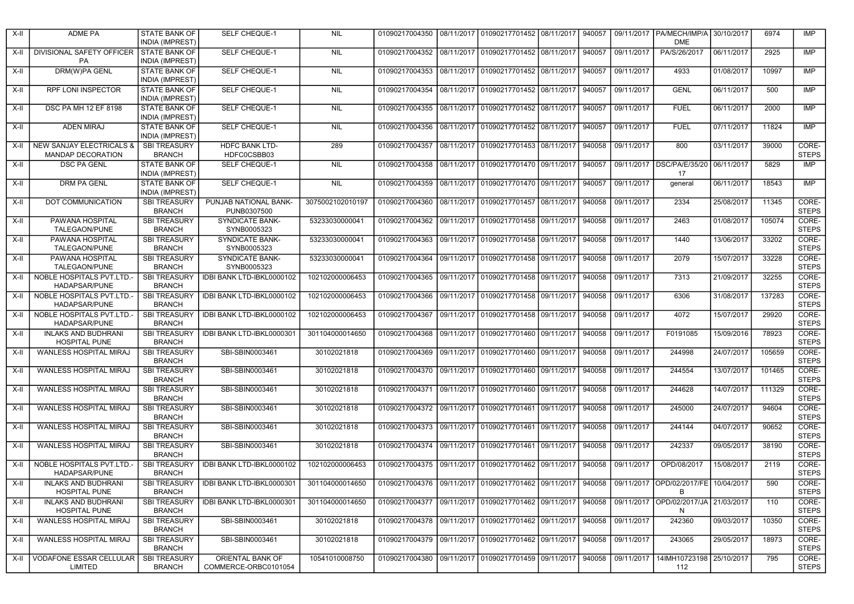| $X-II$ | <b>ADME PA</b>                                     | STATE BANK OF<br><b>INDIA (IMPREST)</b>        | SELF CHEQUE-1                                                                                                                                                             | <b>NIL</b>       | 01090217004350 08/11/2017 01090217701452 08/11/2017                |                                      | 940057 |                   | 09/11/2017   PA/MECH/IMP/A<br><b>DME</b>       | 30/10/2017 | 6974   | <b>IMP</b>            |
|--------|----------------------------------------------------|------------------------------------------------|---------------------------------------------------------------------------------------------------------------------------------------------------------------------------|------------------|--------------------------------------------------------------------|--------------------------------------|--------|-------------------|------------------------------------------------|------------|--------|-----------------------|
| X-II   | DIVISIONAL SAFETY OFFICER STATE BANK OF<br>PA      | <b>INDIA (IMPREST)</b>                         | <b>SELF CHEQUE-1</b>                                                                                                                                                      | NIL              | 01090217004352 08/11/2017 01090217701452 08/11/2017                |                                      | 940057 | 09/11/2017        | PA/S/26/2017                                   | 06/11/2017 | 2925   | <b>IMP</b>            |
| X-II   | <b>DRM(W)PA GENL</b>                               | STATE BANK OF<br><b>INDIA (IMPREST)</b>        | <b>SELF CHEQUE-1</b>                                                                                                                                                      | <b>NIL</b>       |                                                                    |                                      | 940057 | 09/11/2017        | 4933                                           | 01/08/2017 | 10997  | <b>IMP</b>            |
| X-II   | <b>RPF LONI INSPECTOR</b>                          | STATE BANK OF<br><b>INDIA (IMPREST)</b>        | SELF CHEQUE-1                                                                                                                                                             | <b>NIL</b>       | 01090217004354                                                     | 08/11/2017 01090217701452 08/11/2017 | 940057 | 09/11/2017        | <b>GENL</b>                                    | 06/11/2017 | 500    | <b>IMP</b>            |
| X-II   | DSC PA MH 12 EF 8198                               | <b>STATE BANK OF</b><br><b>INDIA (IMPREST)</b> | <b>SELF CHEQUE-1</b>                                                                                                                                                      | <b>NIL</b>       |                                                                    |                                      | 940057 | 09/11/2017        | <b>FUEL</b>                                    | 06/11/2017 | 2000   | <b>IMP</b>            |
| X-II   | <b>ADEN MIRAJ</b>                                  | <b>STATE BANK OF</b><br><b>INDIA (IMPREST)</b> | <b>SELF CHEQUE-1</b>                                                                                                                                                      | NIL              | 01090217004356 08/11/2017 01090217701452 08/11/2017                |                                      | 940057 | 09/11/2017        | <b>FUEL</b>                                    | 07/11/2017 | 11824  | IMP                   |
| X-II   | NEW SANJAY ELECTRICALS &<br>MANDAP DECORATION      | <b>SBI TREASURY</b><br><b>BRANCH</b>           | HDFC BANK LTD-<br>HDFC0CSBB03                                                                                                                                             | 289              | 01090217004357                                                     | 08/11/2017 01090217701453 08/11/2017 | 940058 | 09/11/2017        | 800                                            | 03/11/2017 | 39000  | CORE-<br><b>STEPS</b> |
| X-II   | <b>DSC PA GENL</b>                                 | <b>STATE BANK OF</b><br><b>INDIA (IMPREST)</b> | <b>SELF CHEQUE-1</b>                                                                                                                                                      | <b>NIL</b>       | 01090217004358                                                     | 08/11/2017 01090217701470 09/11/2017 | 940057 |                   | 09/11/2017   DSC/PA/E/35/20<br>17              | 06/11/2017 | 5829   | IMP                   |
| X-II   | <b>DRM PA GENL</b>                                 | <b>STATE BANK OF</b><br><b>INDIA (IMPREST)</b> | <b>SELF CHEQUE-1</b>                                                                                                                                                      | NIL              | 01090217004359 08/11/2017 01090217701470 09/11/2017                |                                      | 940057 | 09/11/2017        | qeneral                                        | 06/11/2017 | 18543  | <b>IMP</b>            |
| X-II   | DOT COMMUNICATION                                  | <b>SBI TREASURY</b><br><b>BRANCH</b>           | PUNJAB NATIONAL BANK-<br>PUNB0307500                                                                                                                                      | 3075002102010197 | 01090217004360                                                     | 08/11/2017 01090217701457 08/11/2017 | 940058 | 09/11/2017        | 2334                                           | 25/08/2017 | 11345  | CORE-<br><b>STEPS</b> |
| X-II   | PAWANA HOSPITAL<br>TALEGAON/PUNE                   | <b>SBI TREASURY</b><br><b>BRANCH</b>           | <b>SYNDICATE BANK-</b><br>SYNB0005323                                                                                                                                     | 53233030000041   | 01090217004362 09/11/2017 01090217701458 09/11/2017                |                                      | 940058 | 09/11/2017        | 2463                                           | 01/08/2017 | 105074 | CORE-<br><b>STEPS</b> |
| X-II   | PAWANA HOSPITAL<br>TALEGAON/PUNE                   | <b>SBI TREASURY</b><br><b>BRANCH</b>           | <b>SYNDICATE BANK-</b><br>SYNB0005323                                                                                                                                     | 53233030000041   | 01090217004363 09/11/2017 01090217701458 09/11/2017                |                                      | 940058 | 09/11/2017        | 1440                                           | 13/06/2017 | 33202  | CORE-<br><b>STEPS</b> |
| X-II   | PAWANA HOSPITAL<br>TALEGAON/PUNE                   | <b>SBI TREASURY</b><br><b>BRANCH</b>           | <b>SYNDICATE BANK-</b><br>SYNB0005323                                                                                                                                     | 53233030000041   | 01090217004364 09/11/2017 01090217701458 09/11/2017                |                                      | 940058 | 09/11/2017        | 2079                                           | 15/07/2017 | 33228  | CORE-<br><b>STEPS</b> |
| X-II   | NOBLE HOSPITALS PVT.LTD.<br>HADAPSAR/PUNE          | <b>SBI TREASURY</b><br><b>BRANCH</b>           | IDBI BANK LTD-IBKL0000102                                                                                                                                                 | 102102000006453  | 01090217004365 09/11/2017 01090217701458 09/11/2017                |                                      | 940058 | 09/11/2017        | 7313                                           | 21/09/2017 | 32255  | CORE-<br><b>STEPS</b> |
| X-II   | NOBLE HOSPITALS PVT.LTD.-<br>HADAPSAR/PUNE         | <b>SBI TREASURY</b><br><b>BRANCH</b>           | IDBI BANK LTD-IBKL0000102                                                                                                                                                 | 102102000006453  | 01090217004366 09/11/2017 01090217701458 09/11/2017                |                                      | 940058 | 09/11/2017        | 6306                                           | 31/08/2017 | 137283 | CORE-<br><b>STEPS</b> |
| $X-H$  | <b>NOBLE HOSPITALS PVT.LTD.-</b><br>HADAPSAR/PUNE  | <b>SBI TREASURY</b><br><b>BRANCH</b>           | IDBI BANK LTD-IBKL0000102                                                                                                                                                 | 102102000006453  | 01090217004367 09/11/2017 01090217701458 09/11/2017                |                                      | 940058 | 09/11/2017        | 4072                                           | 15/07/2017 | 29920  | CORE-<br><b>STEPS</b> |
| X-II   | <b>INLAKS AND BUDHRANI</b><br><b>HOSPITAL PUNE</b> | <b>SBI TREASURY</b><br><b>BRANCH</b>           | IDBI BANK LTD-IBKL0000301                                                                                                                                                 | 301104000014650  | 01090217004368 09/11/2017 01090217701460 09/11/2017                |                                      | 940058 | 09/11/2017        | F0191085                                       | 15/09/2016 | 78923  | CORE-<br><b>STEPS</b> |
| X-II   | WANLESS HOSPITAL MIRAJ                             | <b>SBI TREASURY</b><br><b>BRANCH</b>           | SBI-SBIN0003461                                                                                                                                                           | 30102021818      | 01090217004369 09/11/2017 01090217701460 09/11/2017                |                                      | 940058 | 09/11/2017        | 244998                                         | 24/07/2017 | 105659 | CORE-<br><b>STEPS</b> |
| $X-II$ | WANLESS HOSPITAL MIRAJ                             | <b>SBI TREASURY</b><br><b>BRANCH</b>           | SBI-SBIN0003461                                                                                                                                                           | 30102021818      | 01090217004370 09/11/2017 01090217701460 09/11/2017                |                                      | 940058 | 09/11/2017        | 244554                                         | 13/07/2017 | 101465 | CORE-<br><b>STEPS</b> |
| $X-II$ | <b>WANLESS HOSPITAL MIRAJ</b>                      | <b>SBI TREASURY</b><br><b>BRANCH</b>           | SBI-SBIN0003461                                                                                                                                                           | 30102021818      | 01090217004371 09/11/2017 01090217701460 09/11/2017                |                                      | 940058 | 09/11/2017        | 244628                                         | 14/07/2017 | 111329 | CORE-<br><b>STEPS</b> |
| X-II   | WANLESS HOSPITAL MIRAJ                             | <b>SBI TREASURY</b><br><b>BRANCH</b>           | SBI-SBIN0003461                                                                                                                                                           | 30102021818      | 01090217004372 09/11/2017 01090217701461 09/11/2017                |                                      | 940058 | 09/11/2017        | 245000                                         | 24/07/2017 | 94604  | CORE-<br><b>STEPS</b> |
| X-II   | <b>WANLESS HOSPITAL MIRAJ</b>                      | <b>SBI TREASURY</b><br><b>BRANCH</b>           | SBI-SBIN0003461                                                                                                                                                           | 30102021818      | 01090217004373 09/11/2017 01090217701461 09/11/2017                |                                      | 940058 | 09/11/2017        | 244144                                         | 04/07/2017 | 90652  | CORE-<br><b>STEPS</b> |
| X-II   | <b>WANLESS HOSPITAL MIRAJ</b>                      | <b>SBI TREASURY</b><br><b>BRANCH</b>           | SBI-SBIN0003461                                                                                                                                                           | 30102021818      | 01090217004374 09/11/2017 01090217701461 09/11/2017                |                                      | 940058 | 09/11/2017        | 242337                                         | 09/05/2017 | 38190  | CORE-<br><b>STEPS</b> |
| X-II   | NOBLE HOSPITALS PVT.LTD.<br>HADAPSAR/PUNE          | <b>SBI TREASURY</b><br><b>BRANCH</b>           | IDBI BANK LTD-IBKL0000102                                                                                                                                                 | 102102000006453  | 01090217004375 09/11/2017 01090217701462 09/11/2017                |                                      | 940058 | 09/11/2017        | OPD/08/2017                                    | 15/08/2017 | 2119   | CORE-<br><b>STEPS</b> |
| $X-H$  | <b>INLAKS AND BUDHRANI</b><br><b>HOSPITAL PUNE</b> | <b>BRANCH</b>                                  | SBITREASURY   IDBI BANK LTD-IBKL0000301   301104000014650   01090217004376   09/11/2017   01090217701462   09/11/2017   940058   09/11/2017   OPD/02/2017/FE   10/04/2017 |                  |                                                                    |                                      |        |                   | B                                              |            | 590    | CORE-<br><b>STEPS</b> |
| X-II   | <b>INLAKS AND BUDHRANI</b><br><b>HOSPITAL PUNE</b> | <b>SBI TREASURY</b><br><b>BRANCH</b>           | IDBI BANK LTD-IBKL0000301                                                                                                                                                 | 301104000014650  | 01090217004377   09/11/2017   01090217701462   09/11/2017   940058 |                                      |        |                   | 09/11/2017 OPD/02/2017/JA 21/03/2017<br>N      |            | 110    | CORE-<br><b>STEPS</b> |
| X-II   | WANLESS HOSPITAL MIRAJ                             | <b>SBI TREASURY</b><br><b>BRANCH</b>           | SBI-SBIN0003461                                                                                                                                                           | 30102021818      | 01090217004378 09/11/2017 01090217701462 09/11/2017                |                                      |        | 940058 09/11/2017 | 242360                                         | 09/03/2017 | 10350  | CORE-<br><b>STEPS</b> |
| X-II   | WANLESS HOSPITAL MIRAJ                             | <b>SBI TREASURY</b><br><b>BRANCH</b>           | SBI-SBIN0003461                                                                                                                                                           | 30102021818      | 01090217004379 09/11/2017 01090217701462 09/11/2017                |                                      | 940058 | 09/11/2017        | 243065                                         | 29/05/2017 | 18973  | CORE-<br><b>STEPS</b> |
| X-II   | VODAFONE ESSAR CELLULAR<br>LIMITED                 | <b>SBI TREASURY</b><br><b>BRANCH</b>           | ORIENTAL BANK OF<br>COMMERCE-ORBC0101054                                                                                                                                  | 10541010008750   | 01090217004380 09/11/2017 01090217701459 09/11/2017                |                                      | 940058 |                   | 09/11/2017   14IMH10723198   25/10/2017<br>112 |            | 795    | CORE-<br><b>STEPS</b> |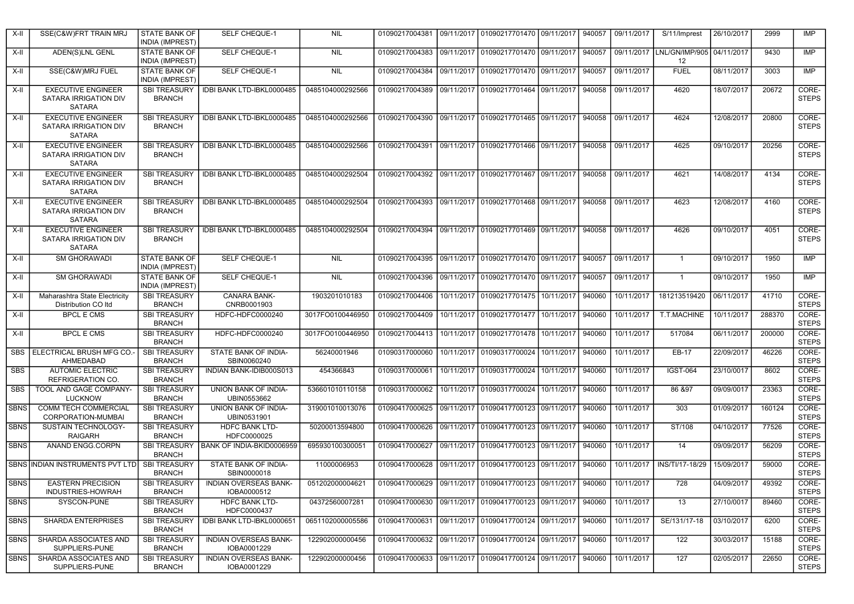| X-II        | SSE(C&W)FRT TRAIN MRJ                                               | <b>STATE BANK OF</b><br><b>INDIA (IMPREST)</b> | <b>SELF CHEQUE-1</b>                        | <b>NIL</b>                                                                            |                                                           | 01090217004381 09/11/2017 01090217701470 09/11/2017                                             |            |        | 940057 09/11/2017 | S/11/Imprest                 | 26/10/2017 | 2999   | <b>IMP</b>            |
|-------------|---------------------------------------------------------------------|------------------------------------------------|---------------------------------------------|---------------------------------------------------------------------------------------|-----------------------------------------------------------|-------------------------------------------------------------------------------------------------|------------|--------|-------------------|------------------------------|------------|--------|-----------------------|
| X-II        | ADEN(S)LNL GENL                                                     | <b>STATE BANK OF</b><br><b>INDIA (IMPREST)</b> | SELF CHEQUE-1                               | <b>NIL</b>                                                                            |                                                           | 01090217004383 09/11/2017 01090217701470 09/11/2017 940057 09/11/2017 LNL/GN/IMP/905 04/11/2017 |            |        |                   | 12                           |            | 9430   | IMP                   |
| X-II        | SSE(C&W)MRJ FUEL                                                    | STATE BANK OF<br><b>INDIA (IMPREST)</b>        | SELF CHEQUE-1                               | <b>NIL</b>                                                                            |                                                           | 01090217004384 09/11/2017 01090217701470 09/11/2017                                             |            | 940057 | 09/11/2017        | <b>FUEL</b>                  | 08/11/2017 | 3003   | IMP                   |
| X-II        | <b>EXECUTIVE ENGINEER</b><br>SATARA IRRIGATION DIV<br>SATARA        | <b>SBI TREASURY</b><br><b>BRANCH</b>           | IDBI BANK LTD-IBKL0000485                   | 0485104000292566                                                                      |                                                           | 01090217004389 09/11/2017 01090217701464 09/11/2017                                             |            | 940058 | 09/11/2017        | 4620                         | 18/07/2017 | 20672  | CORE-<br><b>STEPS</b> |
| X-II        | <b>EXECUTIVE ENGINEER</b><br>SATARA IRRIGATION DIV<br>SATARA        | <b>SBI TREASURY</b><br><b>BRANCH</b>           | IDBI BANK LTD-IBKL0000485                   | 0485104000292566                                                                      |                                                           | 01090217004390   09/11/2017   01090217701465   09/11/2017   940058                              |            |        | 09/11/2017        | 4624                         | 12/08/2017 | 20800  | CORE-<br><b>STEPS</b> |
| X-II        | <b>EXECUTIVE ENGINEER</b><br>SATARA IRRIGATION DIV<br>SATARA        | <b>SBI TREASURY</b><br><b>BRANCH</b>           | IDBI BANK LTD-IBKL0000485                   | 0485104000292566                                                                      | 01090217004391                                            | 09/11/2017 01090217701466 09/11/2017                                                            |            | 940058 | 09/11/2017        | 4625                         | 09/10/2017 | 20256  | CORE-<br><b>STEPS</b> |
| X-II        | <b>EXECUTIVE ENGINEER</b><br>SATARA IRRIGATION DIV<br><b>SATARA</b> | <b>SBI TREASURY</b><br><b>BRANCH</b>           | IDBI BANK LTD-IBKL0000485                   | 0485104000292504                                                                      |                                                           | 01090217004392 09/11/2017 01090217701467 09/11/2017 940058 09/11/2017                           |            |        |                   | 4621                         | 14/08/2017 | 4134   | CORE-<br><b>STEPS</b> |
| X-II        | <b>EXECUTIVE ENGINEER</b><br>SATARA IRRIGATION DIV<br>SATARA        | <b>SBI TREASURY</b><br><b>BRANCH</b>           | IDBI BANK LTD-IBKL0000485                   | 0485104000292504                                                                      |                                                           | 01090217004393 09/11/2017 01090217701468 09/11/2017                                             |            |        | 940058 09/11/2017 | 4623                         | 12/08/2017 | 4160   | CORE-<br><b>STEPS</b> |
| X-II        | <b>EXECUTIVE ENGINEER</b><br>SATARA IRRIGATION DIV<br>SATARA        | <b>SBI TREASURY</b><br><b>BRANCH</b>           | IDBI BANK LTD-IBKL0000485                   | 0485104000292504                                                                      |                                                           | 01090217004394 09/11/2017 01090217701469 09/11/2017                                             |            |        | 940058 09/11/2017 | 4626                         | 09/10/2017 | 4051   | CORE-<br><b>STEPS</b> |
| X-II        | <b>SM GHORAWADI</b>                                                 | <b>STATE BANK OF</b><br><b>INDIA (IMPREST)</b> | <b>SELF CHEQUE-1</b>                        | <b>NIL</b>                                                                            |                                                           | 01090217004395   09/11/2017   01090217701470   09/11/2017   940057   09/11/2017                 |            |        |                   | $\mathbf{1}$                 | 09/10/2017 | 1950   | <b>IMP</b>            |
| X-II        | <b>SM GHORAWADI</b>                                                 | STATE BANK OF<br><b>INDIA (IMPREST)</b>        | SELF CHEQUE-1                               | <b>NIL</b>                                                                            |                                                           | 01090217004396 09/11/2017 01090217701470 09/11/2017                                             |            |        | 940057 09/11/2017 | $\overline{1}$               | 09/10/2017 | 1950   | <b>IMP</b>            |
| X-II        | Maharashtra State Electricity<br>Distribution CO Itd                | <b>SBI TREASURY</b><br><b>BRANCH</b>           | <b>CANARA BANK-</b><br>CNRB0001903          | 1903201010183                                                                         |                                                           | 01090217004406   10/11/2017   01090217701475   10/11/2017                                       |            | 940060 | 10/11/2017        | 181213519420                 | 06/11/2017 | 41710  | CORE-<br><b>STEPS</b> |
| X-II        | <b>BPCL E CMS</b>                                                   | <b>SBI TREASURY</b><br><b>BRANCH</b>           | HDFC-HDFC0000240                            | 3017FO0100446950                                                                      | 01090217004409   10/11/2017   01090217701477   10/11/2017 |                                                                                                 |            | 940060 | 10/11/2017        | T.T.MACHINE                  | 10/11/2017 | 288370 | CORE-<br><b>STEPS</b> |
| X-II        | <b>BPCL E CMS</b>                                                   | <b>SBI TREASURY</b><br><b>BRANCH</b>           | HDFC-HDFC0000240                            | 3017FO0100446950                                                                      | 01090217004413   10/11/2017   01090217701478   10/11/2017 |                                                                                                 |            | 940060 | 10/11/2017        | 517084                       | 06/11/2017 | 200000 | CORE-<br><b>STEPS</b> |
|             | SBS   ELECTRICAL BRUSH MFG CO.<br>AHMEDABAD                         | <b>SBI TREASURY</b><br><b>BRANCH</b>           | STATE BANK OF INDIA-<br>SBIN0060240         | 56240001946                                                                           | 01090317000060                                            | 10/11/2017 01090317700024 10/11/2017                                                            |            | 940060 | 10/11/2017        | EB-17                        | 22/09/2017 | 46226  | CORE-<br><b>STEPS</b> |
| <b>SBS</b>  | <b>AUTOMIC ELECTRIC</b><br>REFRIGERATION CO.                        | <b>SBI TREASURY</b><br><b>BRANCH</b>           | INDIAN BANK-IDIB000S013                     | 454366843                                                                             | 01090317000061                                            | 10/11/2017 01090317700024 10/11/2017                                                            |            | 940060 | 10/11/2017        | <b>IGST-064</b>              | 23/10/0017 | 8602   | CORE-<br><b>STEPS</b> |
| <b>SBS</b>  | TOOL AND GAGE COMPANY-<br><b>LUCKNOW</b>                            | <b>SBI TREASURY</b><br><b>BRANCH</b>           | <b>UNION BANK OF INDIA-</b><br>UBIN0553662  | 536601010110158                                                                       | 01090317000062                                            | 10/11/2017 01090317700024                                                                       | 10/11/2017 | 940060 | 10/11/2017        | 86 & 97                      | 09/09/0017 | 23363  | CORE-<br><b>STEPS</b> |
| <b>SBNS</b> | <b>COMM TECH COMMERCIAL</b><br>CORPORATION-MUMBAI                   | <b>SBI TREASURY</b><br><b>BRANCH</b>           | UNION BANK OF INDIA-<br>UBIN0531901         | 319001010013076                                                                       | 01090417000625                                            | 09/11/2017 01090417700123 09/11/2017                                                            |            | 940060 | 10/11/2017        | 303                          | 01/09/2017 | 160124 | CORE-<br><b>STEPS</b> |
| <b>SBNS</b> | <b>SUSTAIN TECHNOLOGY-</b><br><b>RAIGARH</b>                        | <b>SBI TREASURY</b><br><b>BRANCH</b>           | <b>HDFC BANK LTD-</b><br>HDFC0000025        | 50200013594800                                                                        | 01090417000626                                            | 09/11/2017 01090417700123 09/11/2017                                                            |            | 940060 | 10/11/2017        | ST/108                       | 04/10/2017 | 77526  | CORE-<br><b>STEPS</b> |
| <b>SBNS</b> | <b>ANAND ENGG.CORPN</b>                                             | <b>SBI TREASURY</b><br><b>BRANCH</b>           | BANK OF INDIA-BKID0006959                   | 695930100300051                                                                       | 01090417000627                                            | 09/11/2017 01090417700123 09/11/2017                                                            |            | 940060 | 10/11/2017        | $\overline{14}$              | 09/09/2017 | 56209  | CORE-<br><b>STEPS</b> |
|             | SBNS INDIAN INSTRUMENTS PVT LTD SBI TREASURY                        | <b>BRANCH</b>                                  | STATE BANK OF INDIA-<br>SBIN0000018         | 11000006953                                                                           |                                                           | 01090417000628 09/11/2017 01090417700123 09/11/2017 940060                                      |            |        |                   | 10/11/2017   INS/TI/17-18/29 | 15/09/2017 | 59000  | CORE-<br><b>STEPS</b> |
| SBNS        | <b>EASTERN PRECISION</b><br>INDUSTRIES-HOWRAH                       | SBI TREASURY<br><b>BRANCH</b>                  | <b>INDIAN OVERSEAS BANK-</b><br>IOBA0000512 | 051202000004621 01090417000629 09/11/2017 01090417700123 09/11/2017 940060 10/11/2017 |                                                           |                                                                                                 |            |        |                   | 728                          | 04/09/2017 | 49392  | CORE-<br><b>STEPS</b> |
| <b>SBNS</b> | SYSCON-PUNE                                                         | <b>SBI TREASURY</b><br><b>BRANCH</b>           | HDFC BANK LTD-<br>HDFC0000437               | 04372560007281                                                                        |                                                           | 01090417000630 09/11/2017 01090417700123 09/11/2017 940060                                      |            |        | 10/11/2017        | 13                           | 27/10/0017 | 89460  | CORE-<br><b>STEPS</b> |
| <b>SBNS</b> | <b>SHARDA ENTERPRISES</b>                                           | <b>SBI TREASURY</b><br><b>BRANCH</b>           | IDBI BANK LTD-IBKL0000651                   | 0651102000005586                                                                      |                                                           | 01090417000631 09/11/2017 01090417700124 09/11/2017 940060                                      |            |        | 10/11/2017        | SE/131/17-18                 | 03/10/2017 | 6200   | CORE-<br><b>STEPS</b> |
| <b>SBNS</b> | SHARDA ASSOCIATES AND<br>SUPPLIERS-PUNE                             | <b>SBI TREASURY</b><br><b>BRANCH</b>           | INDIAN OVERSEAS BANK-<br>IOBA0001229        | 122902000000456                                                                       |                                                           | 01090417000632 09/11/2017 01090417700124 09/11/2017                                             |            | 940060 | 10/11/2017        | 122                          | 30/03/2017 | 15188  | CORE-<br><b>STEPS</b> |
| <b>SBNS</b> | SHARDA ASSOCIATES AND<br>SUPPLIERS-PUNE                             | <b>SBI TREASURY</b><br><b>BRANCH</b>           | INDIAN OVERSEAS BANK-<br>IOBA0001229        | 122902000000456                                                                       |                                                           | 01090417000633 09/11/2017 01090417700124 09/11/2017                                             |            | 940060 | 10/11/2017        | 127                          | 02/05/2017 | 22650  | CORE-<br><b>STEPS</b> |